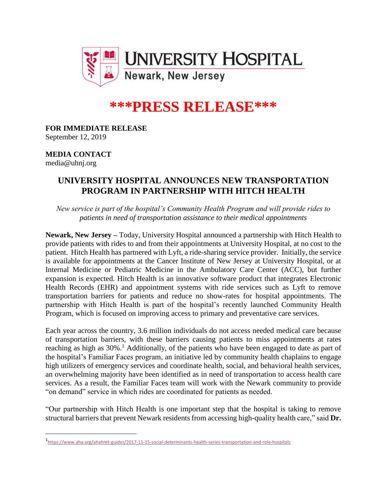

## **\*\*\*PRESS RELEASE\*\*\***

**FOR IMMEDIATE RELEASE** September 12, 2019

## **MEDIA CONTACT** media@uhnj.org

l

## **UNIVERSITY HOSPITAL ANNOUNCES NEW TRANSPORTATION PROGRAM IN PARTNERSHIP WITH HITCH HEALTH**

*New service is part of the hospital's Community Health Program and will provide rides to patients in need of transportation assistance to their medical appointments*

**Newark, New Jersey –** Today, University Hospital announced a partnership with Hitch Health to provide patients with rides to and from their appointments at University Hospital, at no cost to the patient. Hitch Health has partnered with Lyft, a ride-sharing service provider. Initially, the service is available for appointments at the Cancer Institute of New Jersey at University Hospital, or at Internal Medicine or Pediatric Medicine in the Ambulatory Care Center (ACC), but further expansion is expected. Hitch Health is an innovative software product that integrates Electronic Health Records (EHR) and appointment systems with ride services such as Lyft to remove transportation barriers for patients and reduce no show-rates for hospital appointments. The partnership with Hitch Health is part of the hospital's recently launched Community Health Program, which is focused on improving access to primary and preventative care services.

Each year across the country, 3.6 million individuals do not access needed medical care because of transportation barriers, with these barriers causing patients to miss appointments at rates reaching as high as 30%.<sup>1</sup> Additionally, of the patients who have been engaged to date as part of the hospital's Familiar Faces program, an initiative led by community health chaplains to engage high utilizers of emergency services and coordinate health, social, and behavioral health services, an overwhelming majority have been identified as in need of transportation to access health care services. As a result, the Familiar Faces team will work with the Newark community to provide "on demand" service in which rides are coordinated for patients as needed.

"Our partnership with Hitch Health is one important step that the hospital is taking to remove structural barriers that prevent Newark residents from accessing high-quality health care," said **Dr.** 

<sup>1</sup> <https://www.aha.org/ahahret-guides/2017-11-15-social-determinants-health-series-transportation-and-role-hospitals>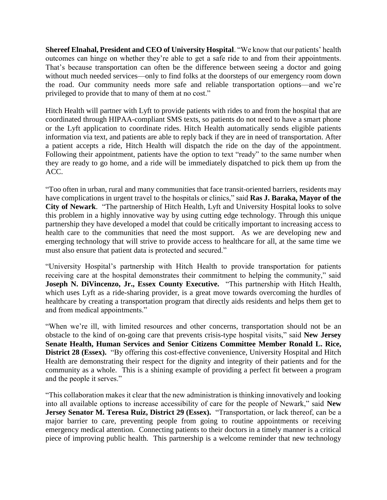**Shereef Elnahal, President and CEO of University Hospital**. "We know that our patients' health outcomes can hinge on whether they're able to get a safe ride to and from their appointments. That's because transportation can often be the difference between seeing a doctor and going without much needed services—only to find folks at the doorsteps of our emergency room down the road. Our community needs more safe and reliable transportation options—and we're privileged to provide that to many of them at no cost."

Hitch Health will partner with Lyft to provide patients with rides to and from the hospital that are coordinated through HIPAA-compliant SMS texts, so patients do not need to have a smart phone or the Lyft application to coordinate rides. Hitch Health automatically sends eligible patients information via text, and patients are able to reply back if they are in need of transportation. After a patient accepts a ride, Hitch Health will dispatch the ride on the day of the appointment. Following their appointment, patients have the option to text "ready" to the same number when they are ready to go home, and a ride will be immediately dispatched to pick them up from the ACC.

"Too often in urban, rural and many communities that face transit-oriented barriers, residents may have complications in urgent travel to the hospitals or clinics," said **Ras J. Baraka, Mayor of the City of Newark**. "The partnership of Hitch Health, Lyft and University Hospital looks to solve this problem in a highly innovative way by using cutting edge technology. Through this unique partnership they have developed a model that could be critically important to increasing access to health care to the communities that need the most support. As we are developing new and emerging technology that will strive to provide access to healthcare for all, at the same time we must also ensure that patient data is protected and secured."

"University Hospital's partnership with Hitch Health to provide transportation for patients receiving care at the hospital demonstrates their commitment to helping the community," said **Joseph N. DiVincenzo, Jr., Essex County Executive.** "This partnership with Hitch Health, which uses Lyft as a ride-sharing provider, is a great move towards overcoming the hurdles of healthcare by creating a transportation program that directly aids residents and helps them get to and from medical appointments."

"When we're ill, with limited resources and other concerns, transportation should not be an obstacle to the kind of on-going care that prevents crisis-type hospital visits," said **New Jersey Senate Health, Human Services and Senior Citizens Committee Member Ronald L. Rice, District 28 (Essex).** "By offering this cost-effective convenience, University Hospital and Hitch Health are demonstrating their respect for the dignity and integrity of their patients and for the community as a whole. This is a shining example of providing a perfect fit between a program and the people it serves."

"This collaboration makes it clear that the new administration is thinking innovatively and looking into all available options to increase accessibility of care for the people of Newark," said **New Jersey Senator M. Teresa Ruiz, District 29 (Essex).** "Transportation, or lack thereof, can be a major barrier to care, preventing people from going to routine appointments or receiving emergency medical attention. Connecting patients to their doctors in a timely manner is a critical piece of improving public health. This partnership is a welcome reminder that new technology